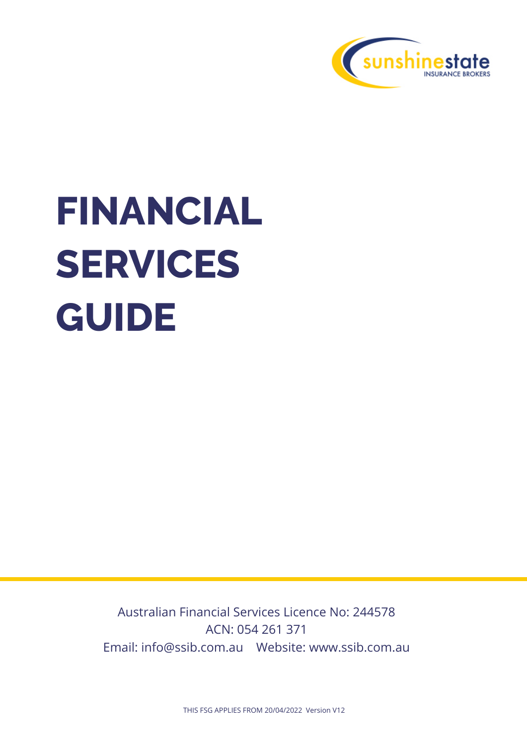

# **FINANCIAL SERVICES GUIDE**

Australian Financial Services Licence No: 244578 ACN: 054 261 371 Email: info@ssib.com.au Website: www.ssib.com.au

THIS FSG APPLIES FROM 20/04/2022 Version V12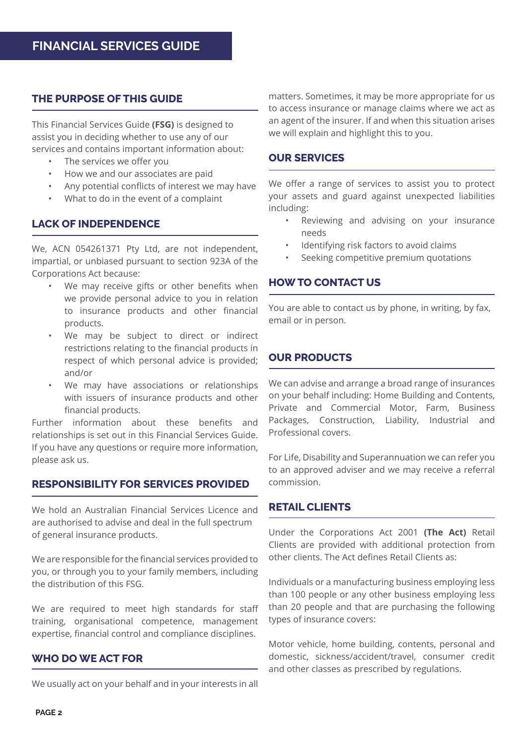#### **THE PURPOSE OF THIS GUIDE**

This Financial Services Guide **(FSG)** is designed to assist you in deciding whether to use any of our services and contains important information about:

- The services we offer you
- How we and our associates are paid
- Any potential conflicts of interest we may have
- What to do in the event of a complaint

#### **LACK OF INDEPENDENCE**

We, ACN 054261371 Pty Ltd, are not independent, impartial, or unbiased pursuant to section 923A of the Corporations Act because:

- We may receive gifts or other benefits when we provide personal advice to you in relation to insurance products and other financial products.
- We may be subject to direct or indirect restrictions relating to the financial products in respect of which personal advice is provided; and/or
- We may have associations or relationships with issuers of insurance products and other financial products.

Further information about these benefits and relationships is set out in this Financial Services Guide. If you have any questions or require more information, please ask us.

#### **RESPONSIBILITY FOR SERVICES PROVIDED**

We hold an Australian Financial Services Licence and are authorised to advise and deal in the full spectrum of general insurance products.

We are responsible for the financial services provided to you, or through you to your family members, including the distribution of this FSG.

We are required to meet high standards for staff training, organisational competence, management expertise, financial control and compliance disciplines.

#### **WHO DO WE ACT FOR**

We usually act on your behalf and in your interests in all

matters. Sometimes, it may be more appropriate for us to access insurance or manage claims where we act as an agent of the insurer. If and when this situation arises we will explain and highlight this to you.

#### **OUR SERVICES**

We offer a range of services to assist you to protect your assets and guard against unexpected liabilities including:

- Reviewing and advising on your insurance needs
- Identifying risk factors to avoid claims
- Seeking competitive premium quotations

#### **HOW TO CONTACT US**

You are able to contact us by phone, in writing, by fax, email or in person.

#### **OUR PRODUCTS**

We can advise and arrange a broad range of insurances on your behalf including: Home Building and Contents, Private and Commercial Motor, Farm, Business Packages, Construction, Liability, Industrial and Professional covers.

For Life, Disability and Superannuation we can refer you to an approved adviser and we may receive a referral commission.

#### **RETAIL CLIENTS**

Under the Corporations Act 2001 **(The Act)** Retail Clients are provided with additional protection from other clients. The Act defines Retail Clients as:

Individuals or a manufacturing business employing less than 100 people or any other business employing less than 20 people and that are purchasing the following types of insurance covers:

Motor vehicle, home building, contents, personal and domestic, sickness/accident/travel, consumer credit and other classes as prescribed by regulations.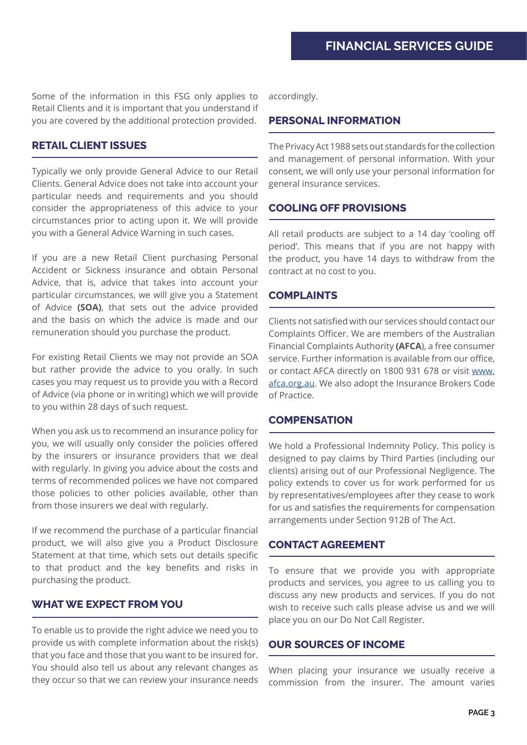Some of the information in this FSG only applies to Retail Clients and it is important that you understand if you are covered by the additional protection provided.

#### **RETAIL CLIENT ISSUES**

Typically we only provide General Advice to our Retail Clients. General Advice does not take into account your particular needs and requirements and you should consider the appropriateness of this advice to your circumstances prior to acting upon it. We will provide you with a General Advice Warning in such cases.

If you are a new Retail Client purchasing Personal Accident or Sickness insurance and obtain Personal Advice, that is, advice that takes into account your particular circumstances, we will give you a Statement of Advice **(SOA)**, that sets out the advice provided and the basis on which the advice is made and our remuneration should you purchase the product.

For existing Retail Clients we may not provide an SOA but rather provide the advice to you orally. In such cases you may request us to provide you with a Record of Advice (via phone or in writing) which we will provide to you within 28 days of such request.

When you ask us to recommend an insurance policy for you, we will usually only consider the policies offered by the insurers or insurance providers that we deal with regularly. In giving you advice about the costs and terms of recommended polices we have not compared those policies to other policies available, other than from those insurers we deal with regularly.

If we recommend the purchase of a particular financial product, we will also give you a Product Disclosure Statement at that time, which sets out details specific to that product and the key benefits and risks in purchasing the product.

#### **WHAT WE EXPECT FROM YOU**

To enable us to provide the right advice we need you to provide us with complete information about the risk(s) that you face and those that you want to be insured for. You should also tell us about any relevant changes as they occur so that we can review your insurance needs

accordingly.

#### **PERSONAL INFORMATION**

The Privacy Act 1988 sets out standards for the collection and management of personal information. With your consent, we will only use your personal information for general insurance services.

#### **COOLING OFF PROVISIONS**

All retail products are subject to a 14 day 'cooling off period'. This means that if you are not happy with the product, you have 14 days to withdraw from the contract at no cost to you.

#### **COMPLAINTS**

Clients not satisfied with our services should contact our Complaints Officer. We are members of the Australian Financial Complaints Authority **(AFCA**), a free consumer service. Further information is available from our office, or contact AFCA directly on 1800 931 678 or visit [www.](http://www.afca.org.au) [afca.org.au.](http://www.afca.org.au) We also adopt the Insurance Brokers Code of Practice.

#### **COMPENSATION**

We hold a Professional Indemnity Policy. This policy is designed to pay claims by Third Parties (including our clients) arising out of our Professional Negligence. The policy extends to cover us for work performed for us by representatives/employees after they cease to work for us and satisfies the requirements for compensation arrangements under Section 912B of The Act.

#### **CONTACT AGREEMENT**

To ensure that we provide you with appropriate products and services, you agree to us calling you to discuss any new products and services. If you do not wish to receive such calls please advise us and we will place you on our Do Not Call Register.

#### **OUR SOURCES OF INCOME**

When placing your insurance we usually receive a commission from the insurer. The amount varies